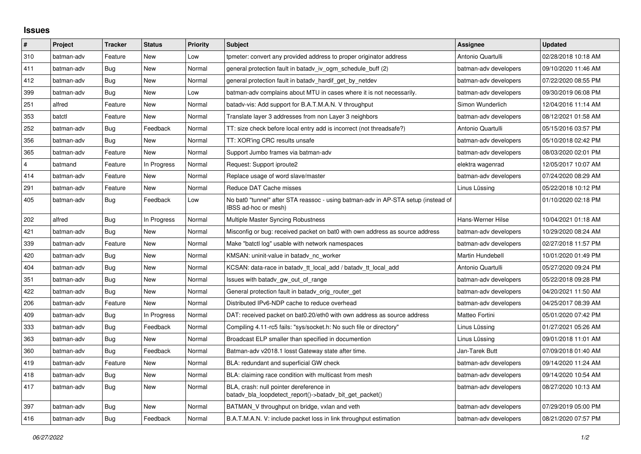## **Issues**

| $\pmb{\sharp}$ | Project    | <b>Tracker</b> | <b>Status</b> | Priority | <b>Subject</b>                                                                                            | <b>Assignee</b>       | <b>Updated</b>      |
|----------------|------------|----------------|---------------|----------|-----------------------------------------------------------------------------------------------------------|-----------------------|---------------------|
| 310            | batman-adv | Feature        | <b>New</b>    | Low      | tpmeter: convert any provided address to proper originator address                                        | Antonio Quartulli     | 02/28/2018 10:18 AM |
| 411            | batman-adv | <b>Bug</b>     | New           | Normal   | general protection fault in batady iv ogm_schedule_buff (2)                                               | batman-adv developers | 09/10/2020 11:46 AM |
| 412            | batman-adv | <b>Bug</b>     | <b>New</b>    | Normal   | general protection fault in batady hardif get by netdev                                                   | batman-adv developers | 07/22/2020 08:55 PM |
| 399            | batman-adv | Bug            | <b>New</b>    | Low      | batman-adv complains about MTU in cases where it is not necessarily.                                      | batman-adv developers | 09/30/2019 06:08 PM |
| 251            | alfred     | Feature        | <b>New</b>    | Normal   | batady-vis: Add support for B.A.T.M.A.N. V throughput                                                     | Simon Wunderlich      | 12/04/2016 11:14 AM |
| 353            | batctl     | Feature        | New           | Normal   | Translate layer 3 addresses from non Layer 3 neighbors                                                    | batman-adv developers | 08/12/2021 01:58 AM |
| 252            | batman-adv | <b>Bug</b>     | Feedback      | Normal   | TT: size check before local entry add is incorrect (not threadsafe?)                                      | Antonio Quartulli     | 05/15/2016 03:57 PM |
| 356            | batman-adv | <b>Bug</b>     | <b>New</b>    | Normal   | TT: XOR'ing CRC results unsafe                                                                            | batman-adv developers | 05/10/2018 02:42 PM |
| 365            | batman-adv | Feature        | New           | Normal   | Support Jumbo frames via batman-adv                                                                       | batman-adv developers | 08/03/2020 02:01 PM |
| $\overline{4}$ | batmand    | Feature        | In Progress   | Normal   | Request: Support iproute2                                                                                 | elektra wagenrad      | 12/05/2017 10:07 AM |
| 414            | batman-adv | Feature        | New           | Normal   | Replace usage of word slave/master                                                                        | batman-adv developers | 07/24/2020 08:29 AM |
| 291            | batman-adv | Feature        | New           | Normal   | Reduce DAT Cache misses                                                                                   | Linus Lüssing         | 05/22/2018 10:12 PM |
| 405            | batman-adv | <b>Bug</b>     | Feedback      | Low      | No bat0 "tunnel" after STA reassoc - using batman-adv in AP-STA setup (instead of<br>IBSS ad-hoc or mesh) |                       | 01/10/2020 02:18 PM |
| 202            | alfred     | Bug            | In Progress   | Normal   | Multiple Master Syncing Robustness                                                                        | Hans-Werner Hilse     | 10/04/2021 01:18 AM |
| 421            | batman-adv | <b>Bug</b>     | <b>New</b>    | Normal   | Misconfig or bug: received packet on bat0 with own address as source address                              | batman-adv developers | 10/29/2020 08:24 AM |
| 339            | batman-adv | Feature        | <b>New</b>    | Normal   | Make "batctl log" usable with network namespaces                                                          | batman-adv developers | 02/27/2018 11:57 PM |
| 420            | batman-adv | Bug            | New           | Normal   | KMSAN: uninit-value in batady nc worker                                                                   | Martin Hundebøll      | 10/01/2020 01:49 PM |
| 404            | batman-adv | <b>Bug</b>     | <b>New</b>    | Normal   | KCSAN: data-race in batady tt local add / batady tt local add                                             | Antonio Quartulli     | 05/27/2020 09:24 PM |
| 351            | batman-adv | Bug            | <b>New</b>    | Normal   | Issues with batady gw out of range                                                                        | batman-adv developers | 05/22/2018 09:28 PM |
| 422            | batman-adv | Bug            | New           | Normal   | General protection fault in batadv_orig_router_get                                                        | batman-adv developers | 04/20/2021 11:50 AM |
| 206            | batman-adv | Feature        | <b>New</b>    | Normal   | Distributed IPv6-NDP cache to reduce overhead                                                             | batman-adv developers | 04/25/2017 08:39 AM |
| 409            | batman-adv | Bug            | In Progress   | Normal   | DAT: received packet on bat0.20/eth0 with own address as source address                                   | Matteo Fortini        | 05/01/2020 07:42 PM |
| 333            | batman-adv | Bug            | Feedback      | Normal   | Compiling 4.11-rc5 fails: "sys/socket.h: No such file or directory"                                       | Linus Lüssina         | 01/27/2021 05:26 AM |
| 363            | batman-adv | Bug            | <b>New</b>    | Normal   | Broadcast ELP smaller than specified in documention                                                       | Linus Lüssing         | 09/01/2018 11:01 AM |
| 360            | batman-adv | Bug            | Feedback      | Normal   | Batman-adv v2018.1 losst Gateway state after time.                                                        | Jan-Tarek Butt        | 07/09/2018 01:40 AM |
| 419            | batman-adv | Feature        | <b>New</b>    | Normal   | BLA: redundant and superficial GW check                                                                   | batman-adv developers | 09/14/2020 11:24 AM |
| 418            | batman-adv | Bug            | New           | Normal   | BLA: claiming race condition with multicast from mesh                                                     | batman-adv developers | 09/14/2020 10:54 AM |
| 417            | batman-adv | <b>Bug</b>     | New           | Normal   | BLA, crash: null pointer dereference in<br>batadv_bla_loopdetect_report()->batadv_bit_get_packet()        | batman-adv developers | 08/27/2020 10:13 AM |
| 397            | batman-adv | <b>Bug</b>     | <b>New</b>    | Normal   | BATMAN V throughput on bridge, vxlan and veth                                                             | batman-adv developers | 07/29/2019 05:00 PM |
| 416            | batman-adv | Bug            | Feedback      | Normal   | B.A.T.M.A.N. V: include packet loss in link throughput estimation                                         | batman-adv developers | 08/21/2020 07:57 PM |